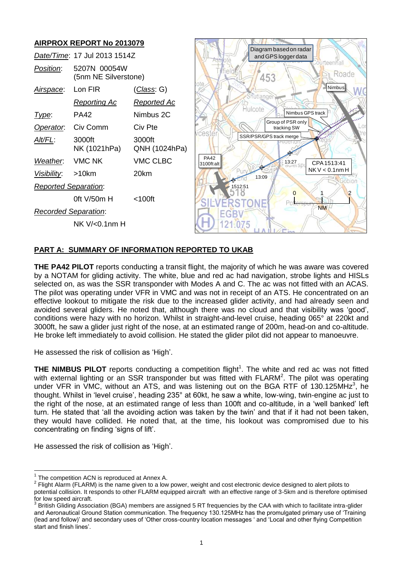

# **PART A: SUMMARY OF INFORMATION REPORTED TO UKAB**

**THE PA42 PILOT** reports conducting a transit flight, the majority of which he was aware was covered by a NOTAM for gliding activity. The white, blue and red ac had navigation, strobe lights and HISLs selected on, as was the SSR transponder with Modes A and C. The ac was not fitted with an ACAS. The pilot was operating under VFR in VMC and was not in receipt of an ATS. He concentrated on an effective lookout to mitigate the risk due to the increased glider activity, and had already seen and avoided several gliders. He noted that, although there was no cloud and that visibility was 'good', conditions were hazy with no horizon. Whilst in straight-and-level cruise, heading 065° at 220kt and 3000ft, he saw a glider just right of the nose, at an estimated range of 200m, head-on and co-altitude. He broke left immediately to avoid collision. He stated the glider pilot did not appear to manoeuvre.

He assessed the risk of collision as 'High'.

**THE NIMBUS PILOT** reports conducting a competition flight<sup>1</sup>. The white and red ac was not fitted with external lighting or an SSR transponder but was fitted with  $FLARM<sup>2</sup>$ . The pilot was operating under VFR in VMC, without an ATS, and was listening out on the BGA RTF of 130.125MHz<sup>3</sup>, he thought. Whilst in 'level cruise', heading 235° at 60kt, he saw a white, low-wing, twin-engine ac just to the right of the nose, at an estimated range of less than 100ft and co-altitude, in a 'well banked' left turn. He stated that 'all the avoiding action was taken by the twin' and that if it had not been taken, they would have collided. He noted that, at the time, his lookout was compromised due to his concentrating on finding 'signs of lift'.

He assessed the risk of collision as 'High'.

 $\overline{\phantom{a}}$ 

 $1$  The competition ACN is reproduced at Annex A.

 $2$  Flight Alarm (FLARM) is the name given to a low power, weight and cost electronic device designed to alert pilots to potential collision. It responds to other FLARM equipped aircraft with an effective range of 3-5km and is therefore optimised for low speed aircraft.<br><sup>3</sup> British Cliding Assex

British Gliding Association (BGA) members are assigned 5 RT frequencies by the CAA with which to facilitate intra-glider and Aeronautical Ground Station communication. The frequency 130.125MHz has the promulgated primary use of 'Training (lead and follow)' and secondary uses of 'Other cross-country location messages ' and 'Local and other flying Competition start and finish lines'.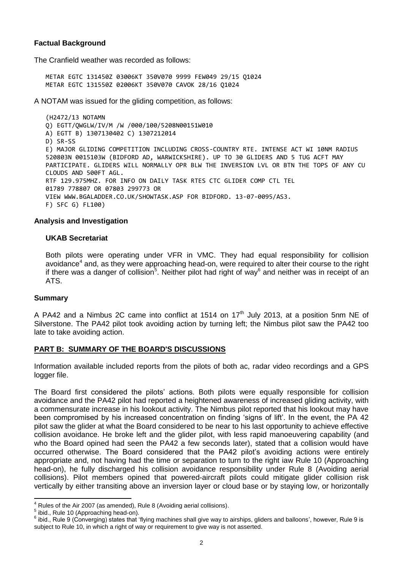# **Factual Background**

The Cranfield weather was recorded as follows:

METAR EGTC 131450Z 03006KT 350V070 9999 FEW049 29/15 Q1024 METAR EGTC 131550Z 02006KT 350V070 CAVOK 28/16 Q1024

A NOTAM was issued for the gliding competition, as follows:

(H2472/13 NOTAMN Q) EGTT/QWGLW/IV/M /W /000/100/5208N00151W010 A) EGTT B) 1307130402 C) 1307212014 D) SR-SS E) MAJOR GLIDING COMPETITION INCLUDING CROSS-COUNTRY RTE. INTENSE ACT WI 10NM RADIUS 520803N 0015103W (BIDFORD AD, WARWICKSHIRE). UP TO 30 GLIDERS AND 5 TUG ACFT MAY PARTICIPATE. GLIDERS WILL NORMALLY OPR BLW THE INVERSION LVL OR BTN THE TOPS OF ANY CU CLOUDS AND 500FT AGL. RTF 129.975MHZ. FOR INFO ON DAILY TASK RTES CTC GLIDER COMP CTL TEL 01789 778807 OR 07803 299773 OR VIEW WWW.BGALADDER.CO.UK/SHOWTASK.ASP FOR BIDFORD. 13-07-0095/AS3. F) SFC G) FL100)

# **Analysis and Investigation**

# **UKAB Secretariat**

Both pilots were operating under VFR in VMC. They had equal responsibility for collision avoidance<sup>4</sup> and, as they were approaching head-on, were required to alter their course to the right if there was a danger of collision<sup>5</sup>. Neither pilot had right of way<sup>6</sup> and neither was in receipt of an ATS.

# **Summary**

A PA42 and a Nimbus 2C came into conflict at 1514 on  $17<sup>th</sup>$  July 2013, at a position 5nm NE of Silverstone. The PA42 pilot took avoiding action by turning left; the Nimbus pilot saw the PA42 too late to take avoiding action.

# **PART B: SUMMARY OF THE BOARD'S DISCUSSIONS**

Information available included reports from the pilots of both ac, radar video recordings and a GPS logger file.

The Board first considered the pilots' actions. Both pilots were equally responsible for collision avoidance and the PA42 pilot had reported a heightened awareness of increased gliding activity, with a commensurate increase in his lookout activity. The Nimbus pilot reported that his lookout may have been compromised by his increased concentration on finding 'signs of lift'. In the event, the PA 42 pilot saw the glider at what the Board considered to be near to his last opportunity to achieve effective collision avoidance. He broke left and the glider pilot, with less rapid manoeuvering capability (and who the Board opined had seen the PA42 a few seconds later), stated that a collision would have occurred otherwise. The Board considered that the PA42 pilot's avoiding actions were entirely appropriate and, not having had the time or separation to turn to the right iaw Rule 10 (Approaching head-on), he fully discharged his collision avoidance responsibility under Rule 8 (Avoiding aerial collisions). Pilot members opined that powered-aircraft pilots could mitigate glider collision risk vertically by either transiting above an inversion layer or cloud base or by staying low, or horizontally

 $\overline{a}$  $^4$  Rules of the Air 2007 (as amended), Rule 8 (Avoiding aerial collisions).

<sup>&</sup>lt;sup>5</sup> ibid., Rule 10 (Approaching head-on).

 $^6$  ibid., Rule 9 (Converging) states that 'flying machines shall give way to airships, gliders and balloons', however, Rule 9 is subject to Rule 10, in which a right of way or requirement to give way is not asserted.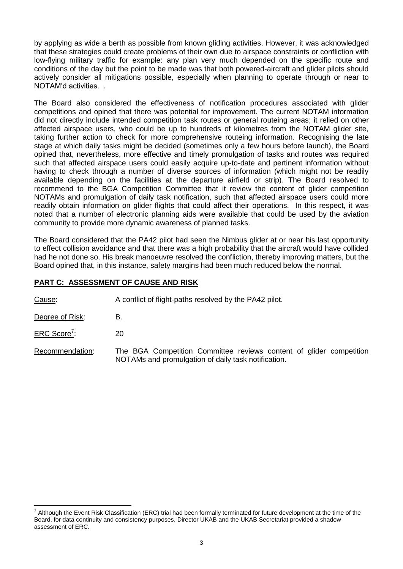by applying as wide a berth as possible from known gliding activities. However, it was acknowledged that these strategies could create problems of their own due to airspace constraints or confliction with low-flying military traffic for example: any plan very much depended on the specific route and conditions of the day but the point to be made was that both powered-aircraft and glider pilots should actively consider all mitigations possible, especially when planning to operate through or near to NOTAM'd activities. .

The Board also considered the effectiveness of notification procedures associated with glider competitions and opined that there was potential for improvement. The current NOTAM information did not directly include intended competition task routes or general routeing areas; it relied on other affected airspace users, who could be up to hundreds of kilometres from the NOTAM glider site, taking further action to check for more comprehensive routeing information. Recognising the late stage at which daily tasks might be decided (sometimes only a few hours before launch), the Board opined that, nevertheless, more effective and timely promulgation of tasks and routes was required such that affected airspace users could easily acquire up-to-date and pertinent information without having to check through a number of diverse sources of information (which might not be readily available depending on the facilities at the departure airfield or strip). The Board resolved to recommend to the BGA Competition Committee that it review the content of glider competition NOTAMs and promulgation of daily task notification, such that affected airspace users could more readily obtain information on glider flights that could affect their operations. In this respect, it was noted that a number of electronic planning aids were available that could be used by the aviation community to provide more dynamic awareness of planned tasks.

The Board considered that the PA42 pilot had seen the Nimbus glider at or near his last opportunity to effect collision avoidance and that there was a high probability that the aircraft would have collided had he not done so. His break manoeuvre resolved the confliction, thereby improving matters, but the Board opined that, in this instance, safety margins had been much reduced below the normal.

# **PART C: ASSESSMENT OF CAUSE AND RISK**

Cause: A conflict of flight-paths resolved by the PA42 pilot.

Degree of Risk: B.

 $\overline{a}$ 

ERC Score<sup>7</sup>: : 20

Recommendation: The BGA Competition Committee reviews content of glider competition NOTAMs and promulgation of daily task notification.

 $^7$  Although the Event Risk Classification (ERC) trial had been formally terminated for future development at the time of the Board, for data continuity and consistency purposes, Director UKAB and the UKAB Secretariat provided a shadow assessment of ERC.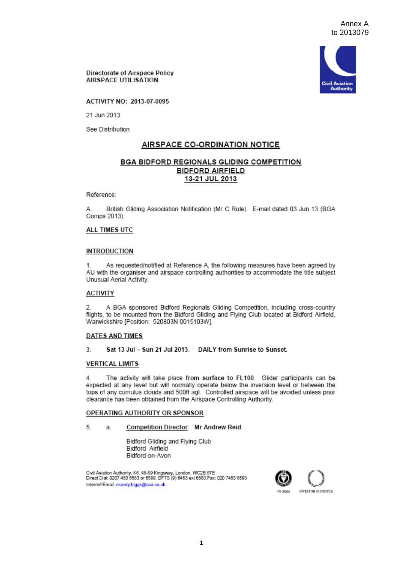

Directorate of Airspace Policy AIRSPACE UTILISATION

ACTIVITY NO: 2013-07-0095

21 Jun 2013

See Distribution

# AIRSPACE CO-ORDINATION NOTICE

# BGA BIDFORD REGIONALS GLIDING COMPETITION **BIDFORD AIRFIELD** 13-21 JUL 2013

Reference:

British Gliding Association Notification (Mr C Rule). E-mail dated 03 Jun 13 (BGA А. Comps 2013).

### ALL TIMES UTC

### **INTRODUCTION**

1. As requested/notified at Reference A, the following measures have been agreed by AU with the organiser and airspace controlling authorities to accommodate the title subject Unusual Aerial Activity.

## **ACTIVITY**

A BGA sponsored Bidford Regionals Gliding Competition, including cross-country  $2.$ flights, to be mounted from the Bidford Gliding and Flying Club located at Bidford Airfield, Warwickshire [Position: 520803N 0015103W].

#### **DATES AND TIMES**

3. Sat 13 Jul - Sun 21 Jul 2013. DAILY from Sunrise to Sunset.

#### **VERTICAL LIMITS**

The activity will take place from surface to FL100. Glider participants can be 4 expected at any level but will normally operate below the inversion level or between the tops of any cumulus clouds and 500ft agl. Controlled airspace will be avoided unless prior clearance has been obtained from the Airspace Controlling Authority.

## OPERATING AUTHORITY OR SPONSOR

#### 5. Competition Director: Mr Andrew Reid. э

Bidford Gliding and Flying Club Bidford Airfield Bidford-on-Avon

Civil Aviation Authority, K6, 45-59 Kingsway, London, WC2B 6TE<br>Direct Dial: 0207 453 6583 or 6599. DFTS (9) 6453 ext 6583.Fax: 020 7453 6593 Internet/Email: mandy.biggs@caa.co.uk

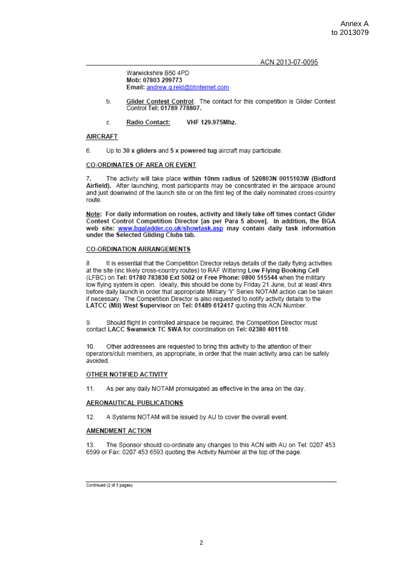#### ACN 2013-07-0095

Warwickshire B50 4PD Mob: 07803 299773 Email: andrew.g.reid@btinternet.com

- Glider Contest Control: The contact for this competition is Glider Contest  $<sub>b</sub>$ </sub> Control Tel: 01789 778807.
- VHF 129.975Mhz. Radio Contact:  $\mathbf{c}$

## **AIRCRAFT**

6 Up to 30 x gliders and 5 x powered tug aircraft may participate.

## CO-ORDINATES OF AREA OR EVENT

The activity will take place within 10nm radius of 520803N 0015103W (Bidford  $\overline{7}$ Airfield). After launching, most participants may be concentrated in the airspace around and just downwind of the launch site or on the first leg of the daily nominated cross-country route

Note: For daily information on routes, activity and likely take off times contact Glider Contest Control Competition Director [as per Para 5 above]. In addition, the BGA web site: www.bgaladder.co.uk/showtask.asp may contain daily task information under the Selected Gliding Clubs tab.

## **CO-ORDINATION ARRANGEMENTS**

8 It is essential that the Competition Director relays details of the daily flying activities at the site (inc likely cross-country routes) to RAF Wittering Low Flying Booking Cell (LFBC) on Tel: 01780 783838 Ext 5002 or Free Phone: 0800 515544 when the military low flying system is open. Ideally, this should be done by Friday 21 June, but at least 4hrs before daily launch in order that appropriate Military 'Y' Series NOTAM action can be taken if necessary. The Competition Director is also requested to notify activity details to the LATCC (Mil) West Supervisor on Tel: 01489 612417 quoting this ACN Number.

Should flight in controlled airspace be required, the Competition Director must Q contact LACC Swanwick TC SWA for coordination on Tel: 02380 401110.

10 Other addressees are requested to bring this activity to the attention of their operators/club members, as appropriate, in order that the main activity area can be safely avoided.

## OTHER NOTIFIED ACTIVITY

As per any daily NOTAM promulgated as effective in the area on the day.  $11.$ 

## **AERONAUTICAL PUBLICATIONS**

 $12.$ A Systems NOTAM will be issued by AU to cover the overall event.

## AMENDMENT ACTION

13. The Sponsor should co-ordinate any changes to this ACN with AU on Tel: 0207 453 6599 or Fax: 0207 453 6593 quoting the Activity Number at the top of the page.

Continued (2 of 3 pages)